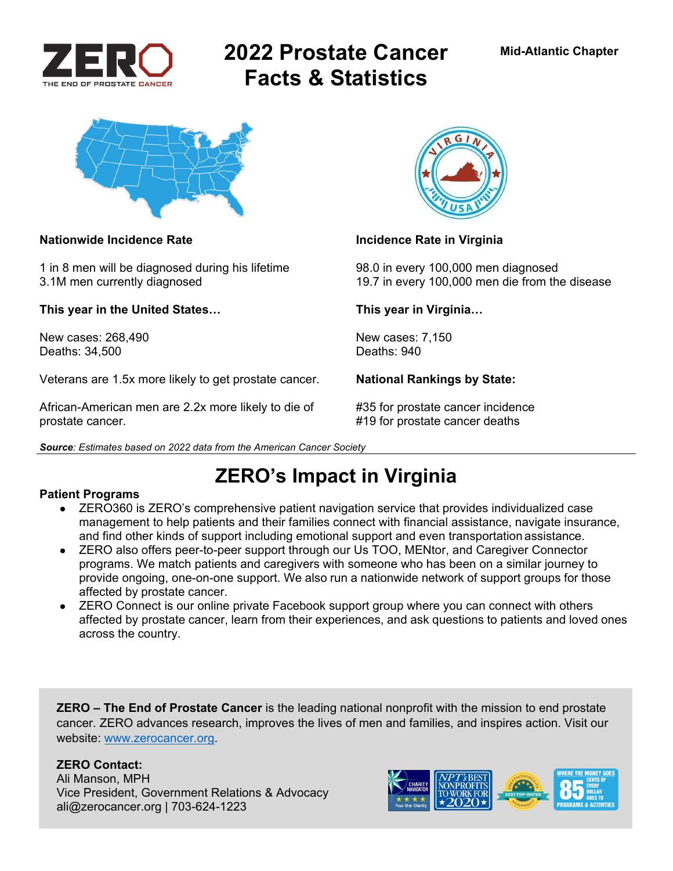

# **2022 Prostate Cancer Facts & Statistics**



### Nationwide Incidence Rate **Incidence Rate in Virginia**

1 in 8 men will be diagnosed during his lifetime 98.0 in every 100,000 men diagnosed

**This year in the United States… This year in Virginia…** 

New cases: 268,490 New cases: 7,150<br>Deaths: 34.500 Deaths: 940 Deaths: 34,500

Veterans are 1.5x more likely to get prostate cancer. **National Rankings by State:** 

African-American men are 2.2x more likely to die of #35 for prostate cancer incidence prostate cancer. #19 for prostate cancer deaths

*Source: Estimates based on 2022 data from the American Cancer Society* 



3.1M men currently diagnosed 19.7 in every 100,000 men die from the disease

## **ZERO's Impact in Virginia**

#### **Patient Programs**

- ZERO360 is ZERO's comprehensive patient navigation service that provides individualized case management to help patients and their families connect with financial assistance, navigate insurance, and find other kinds of support including emotional support and even transportation assistance.
- ZERO also offers peer-to-peer support through our Us TOO, MENtor, and Caregiver Connector programs. We match patients and caregivers with someone who has been on a similar journey to provide ongoing, one-on-one support. We also run a nationwide network of support groups for those affected by prostate cancer.
- ZERO Connect is our online private Facebook support group where you can connect with others affected by prostate cancer, learn from their experiences, and ask questions to patients and loved ones across the country.

**ZERO – The End of Prostate Cancer** is the leading national nonprofit with the mission to end prostate cancer. ZERO advances research, improves the lives of men and families, and inspires action. Visit our website: www.zerocancer.org.

### **ZERO Contact:**

Ali Manson, MPH Vice President, Government Relations & Advocacy ali@zerocancer.org | 703-624-1223

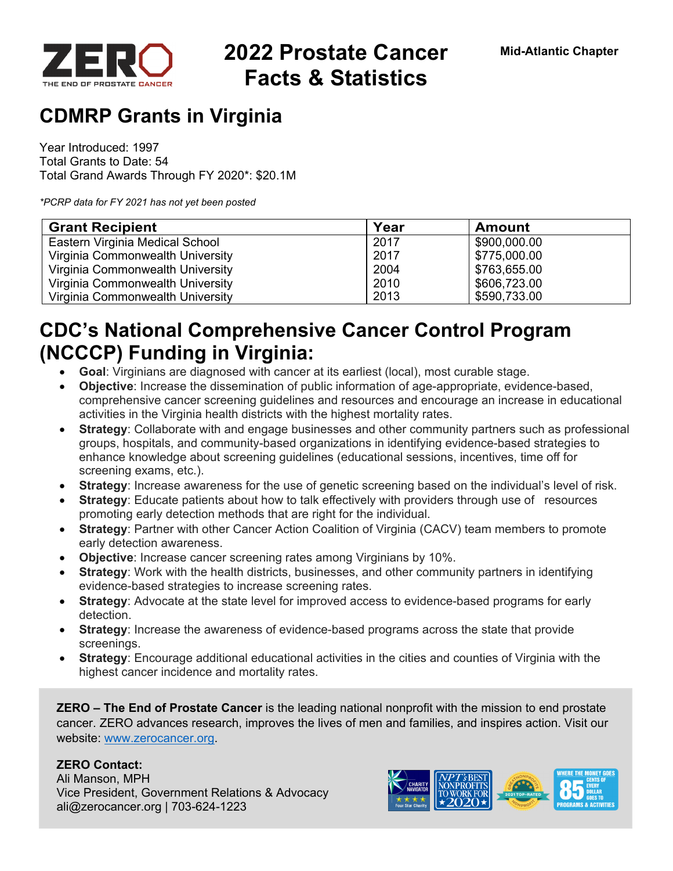

# **2022 Prostate Cancer Facts & Statistics**

## **CDMRP Grants in Virginia**

Year Introduced: 1997 Total Grants to Date: 54 Total Grand Awards Through FY 2020\*: \$20.1M

*\*PCRP data for FY 2021 has not yet been posted* 

| <b>Grant Recipient</b>           | Year | <b>Amount</b> |
|----------------------------------|------|---------------|
| Eastern Virginia Medical School  | 2017 | \$900,000.00  |
| Virginia Commonwealth University | 2017 | \$775,000.00  |
| Virginia Commonwealth University | 2004 | \$763,655.00  |
| Virginia Commonwealth University | 2010 | \$606,723.00  |
| Virginia Commonwealth University | 2013 | \$590,733.00  |

## **CDC's National Comprehensive Cancer Control Program (NCCCP) Funding in Virginia:**

- **Goal**: Virginians are diagnosed with cancer at its earliest (local), most curable stage.
- **Objective**: Increase the dissemination of public information of age-appropriate, evidence-based, comprehensive cancer screening guidelines and resources and encourage an increase in educational activities in the Virginia health districts with the highest mortality rates.
- **Strategy**: Collaborate with and engage businesses and other community partners such as professional groups, hospitals, and community-based organizations in identifying evidence-based strategies to enhance knowledge about screening guidelines (educational sessions, incentives, time off for screening exams, etc.).
- **Strategy**: Increase awareness for the use of genetic screening based on the individual's level of risk.
- **Strategy**: Educate patients about how to talk effectively with providers through use of resources promoting early detection methods that are right for the individual.
- **Strategy**: Partner with other Cancer Action Coalition of Virginia (CACV) team members to promote early detection awareness.
- **Objective**: Increase cancer screening rates among Virginians by 10%.
- **Strategy**: Work with the health districts, businesses, and other community partners in identifying evidence-based strategies to increase screening rates.
- **Strategy**: Advocate at the state level for improved access to evidence-based programs for early detection.
- **Strategy**: Increase the awareness of evidence-based programs across the state that provide screenings.
- **Strategy**: Encourage additional educational activities in the cities and counties of Virginia with the highest cancer incidence and mortality rates.

**ZERO – The End of Prostate Cancer** is the leading national nonprofit with the mission to end prostate cancer. ZERO advances research, improves the lives of men and families, and inspires action. Visit our website: www.zerocancer.org.

### **ZERO Contact:**

Ali Manson, MPH Vice President, Government Relations & Advocacy ali@zerocancer.org | 703-624-1223